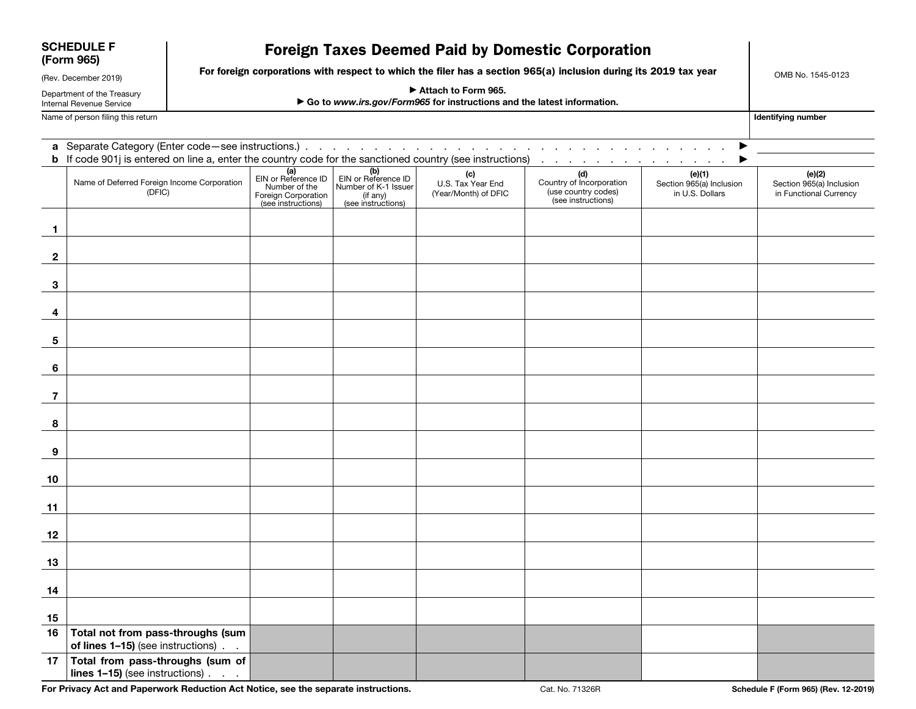| <b>SCHEDULE F</b><br>(Form 965)<br>(Rev. December 2019) |                                                                                                                                                                                                                      |                                                                                                                  | OMB No. 1545-0123                                                                             |                                                                                      |                                                  |                                                                              |                                                       |                                                              |  |  |  |  |  |
|---------------------------------------------------------|----------------------------------------------------------------------------------------------------------------------------------------------------------------------------------------------------------------------|------------------------------------------------------------------------------------------------------------------|-----------------------------------------------------------------------------------------------|--------------------------------------------------------------------------------------|--------------------------------------------------|------------------------------------------------------------------------------|-------------------------------------------------------|--------------------------------------------------------------|--|--|--|--|--|
|                                                         |                                                                                                                                                                                                                      | For foreign corporations with respect to which the filer has a section 965(a) inclusion during its 2019 tax year |                                                                                               |                                                                                      |                                                  |                                                                              |                                                       |                                                              |  |  |  |  |  |
| Department of the Treasury<br>Internal Revenue Service  |                                                                                                                                                                                                                      |                                                                                                                  | Attach to Form 965.<br>Go to www.irs.gov/Form965 for instructions and the latest information. |                                                                                      |                                                  |                                                                              |                                                       |                                                              |  |  |  |  |  |
|                                                         | Name of person filing this return<br>Identifying number                                                                                                                                                              |                                                                                                                  |                                                                                               |                                                                                      |                                                  |                                                                              |                                                       |                                                              |  |  |  |  |  |
|                                                         | the company of the company<br><b>b</b> If code 901j is entered on line a, enter the country code for the sanctioned country (see instructions)<br>and the contract of the contract of<br>and the company of the com- |                                                                                                                  |                                                                                               |                                                                                      |                                                  |                                                                              |                                                       |                                                              |  |  |  |  |  |
|                                                         | Name of Deferred Foreign Income Corporation<br>(DFIC)                                                                                                                                                                |                                                                                                                  | (a)<br>EIN or Reference ID<br>Number of the<br>Foreign Corporation<br>(see instructions)      | (b)<br>EIN or Reference ID<br>Number of K-1 Issuer<br>(if any)<br>(see instructions) | (c)<br>U.S. Tax Year End<br>(Year/Month) of DFIC | (d)<br>Country of Incorporation<br>(use country codes)<br>(see instructions) | (e)(1)<br>Section 965(a) Inclusion<br>in U.S. Dollars | (e)(2)<br>Section 965(a) Inclusion<br>in Functional Currency |  |  |  |  |  |
| 1                                                       |                                                                                                                                                                                                                      |                                                                                                                  |                                                                                               |                                                                                      |                                                  |                                                                              |                                                       |                                                              |  |  |  |  |  |
| $\mathbf{2}$                                            |                                                                                                                                                                                                                      |                                                                                                                  |                                                                                               |                                                                                      |                                                  |                                                                              |                                                       |                                                              |  |  |  |  |  |
| 3                                                       |                                                                                                                                                                                                                      |                                                                                                                  |                                                                                               |                                                                                      |                                                  |                                                                              |                                                       |                                                              |  |  |  |  |  |
| 4                                                       |                                                                                                                                                                                                                      |                                                                                                                  |                                                                                               |                                                                                      |                                                  |                                                                              |                                                       |                                                              |  |  |  |  |  |
| 5                                                       |                                                                                                                                                                                                                      |                                                                                                                  |                                                                                               |                                                                                      |                                                  |                                                                              |                                                       |                                                              |  |  |  |  |  |
| 6                                                       |                                                                                                                                                                                                                      |                                                                                                                  |                                                                                               |                                                                                      |                                                  |                                                                              |                                                       |                                                              |  |  |  |  |  |
| 7                                                       |                                                                                                                                                                                                                      |                                                                                                                  |                                                                                               |                                                                                      |                                                  |                                                                              |                                                       |                                                              |  |  |  |  |  |
| 8                                                       |                                                                                                                                                                                                                      |                                                                                                                  |                                                                                               |                                                                                      |                                                  |                                                                              |                                                       |                                                              |  |  |  |  |  |
| 9                                                       |                                                                                                                                                                                                                      |                                                                                                                  |                                                                                               |                                                                                      |                                                  |                                                                              |                                                       |                                                              |  |  |  |  |  |
| 10                                                      |                                                                                                                                                                                                                      |                                                                                                                  |                                                                                               |                                                                                      |                                                  |                                                                              |                                                       |                                                              |  |  |  |  |  |
| 11                                                      |                                                                                                                                                                                                                      |                                                                                                                  |                                                                                               |                                                                                      |                                                  |                                                                              |                                                       |                                                              |  |  |  |  |  |
| 12                                                      |                                                                                                                                                                                                                      |                                                                                                                  |                                                                                               |                                                                                      |                                                  |                                                                              |                                                       |                                                              |  |  |  |  |  |
| 13                                                      |                                                                                                                                                                                                                      |                                                                                                                  |                                                                                               |                                                                                      |                                                  |                                                                              |                                                       |                                                              |  |  |  |  |  |
| 14                                                      |                                                                                                                                                                                                                      |                                                                                                                  |                                                                                               |                                                                                      |                                                  |                                                                              |                                                       |                                                              |  |  |  |  |  |
| 15                                                      |                                                                                                                                                                                                                      |                                                                                                                  |                                                                                               |                                                                                      |                                                  |                                                                              |                                                       |                                                              |  |  |  |  |  |
|                                                         | 16   Total not from pass-throughs (sum<br>of lines 1-15) (see instructions).                                                                                                                                         |                                                                                                                  |                                                                                               |                                                                                      |                                                  |                                                                              |                                                       |                                                              |  |  |  |  |  |
|                                                         | 17 Total from pass-throughs (sum of<br>lines 1-15) (see instructions)                                                                                                                                                |                                                                                                                  |                                                                                               |                                                                                      |                                                  |                                                                              |                                                       |                                                              |  |  |  |  |  |

For Privacy Act and Paperwork Reduction Act Notice, see the separate instructions. Cat. No. 71326R Schedule F (Form 965) (Rev. 12-2019)